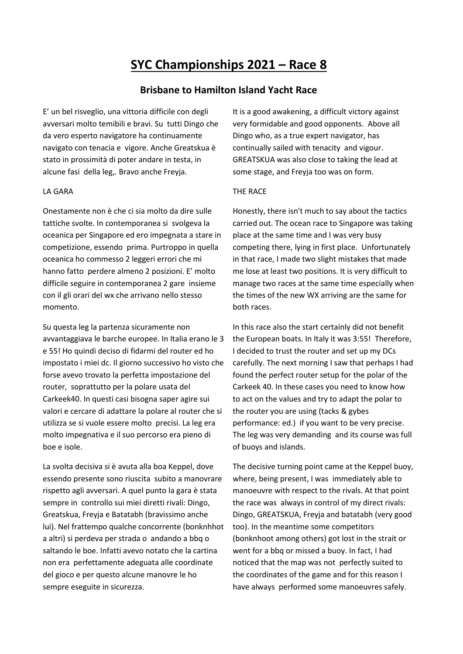## **SYC Championships 2021 – Race 8**

## **Brisbane to Hamilton Island Yacht Race**

E' un bel risveglio, una vittoria difficile con degli avversari molto temibili e bravi. Su tutti Dingo che da vero esperto navigatore ha continuamente navigato con tenacia e vigore. Anche Greatskua è stato in prossimità di poter andare in testa, in alcune fasi della leg,. Bravo anche Freyja.

## LA GARA

Onestamente non è che ci sia molto da dire sulle tattiche svolte. In contemporanea si svolgeva la oceanica per Singapore ed ero impegnata a stare in competizione, essendo prima. Purtroppo in quella oceanica ho commesso 2 leggeri errori che mi hanno fatto perdere almeno 2 posizioni. E' molto difficile seguire in contemporanea 2 gare insieme con il gli orari del wx che arrivano nello stesso momento.

Su questa leg la partenza sicuramente non avvantaggiava le barche europee. In Italia erano le 3 e 55! Ho quindi deciso di fidarmi del router ed ho impostato i miei dc. Il giorno successivo ho visto che forse avevo trovato la perfetta impostazione del router, soprattutto per la polare usata del Carkeek40. In questi casi bisogna saper agire sui valori e cercare di adattare la polare al router che si utilizza se si vuole essere molto precisi. La leg era molto impegnativa e il suo percorso era pieno di boe e isole.

La svolta decisiva si è avuta alla boa Keppel, dove essendo presente sono riuscita subito a manovrare rispetto agli avversari. A quel punto la gara è stata sempre in controllo sui miei diretti rivali: Dingo, Greatskua, Freyja e Batatabh (bravissimo anche lui). Nel frattempo qualche concorrente (bonknhhot a altri) si perdeva per strada o andando a bbq o saltando le boe. Infatti avevo notato che la cartina non era perfettamente adeguata alle coordinate del gioco e per questo alcune manovre le ho sempre eseguite in sicurezza.

It is a good awakening, a difficult victory against very formidable and good opponents. Above all Dingo who, as a true expert navigator, has continually sailed with tenacity and vigour. GREATSKUA was also close to taking the lead at some stage, and Freyja too was on form.

## THE RACE

Honestly, there isn't much to say about the tactics carried out. The ocean race to Singapore was taking place at the same time and I was very busy competing there, lying in first place. Unfortunately in that race, I made two slight mistakes that made me lose at least two positions. It is very difficult to manage two races at the same time especially when the times of the new WX arriving are the same for both races.

In this race also the start certainly did not benefit the European boats. In Italy it was 3:55! Therefore, I decided to trust the router and set up my DCs carefully. The next morning I saw that perhaps I had found the perfect router setup for the polar of the Carkeek 40. In these cases you need to know how to act on the values and try to adapt the polar to the router you are using (tacks & gybes performance: ed.) if you want to be very precise. The leg was very demanding and its course was full of buoys and islands.

The decisive turning point came at the Keppel buoy, where, being present, I was immediately able to manoeuvre with respect to the rivals. At that point the race was always in control of my direct rivals: Dingo, GREATSKUA, Freyja and batatabh (very good too). In the meantime some competitors (bonknhoot among others) got lost in the strait or went for a bbq or missed a buoy. In fact, I had noticed that the map was not perfectly suited to the coordinates of the game and for this reason I have always performed some manoeuvres safely.